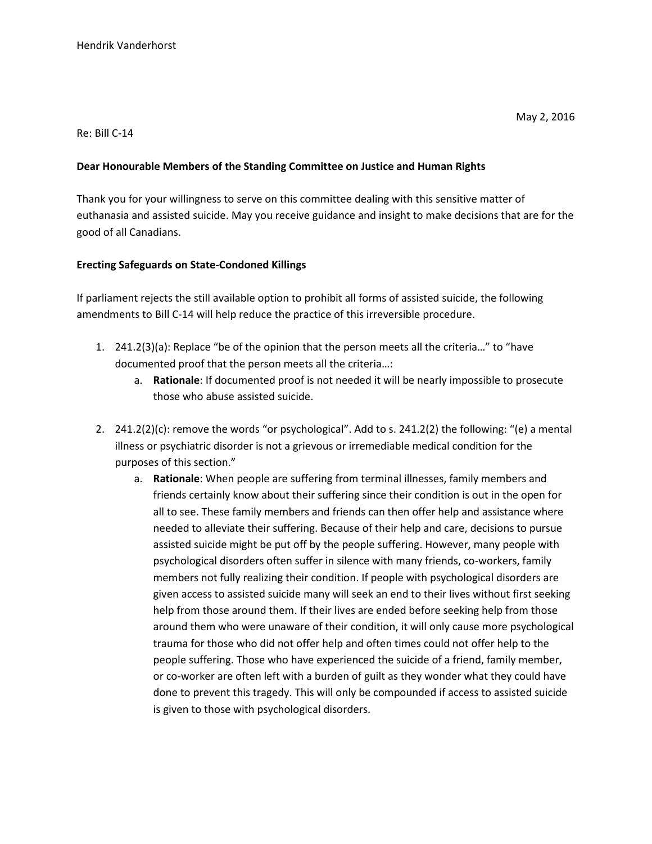## Re: Bill C-14

## **Dear Honourable Members of the Standing Committee on Justice and Human Rights**

Thank you for your willingness to serve on this committee dealing with this sensitive matter of euthanasia and assisted suicide. May you receive guidance and insight to make decisions that are for the good of all Canadians.

## **Erecting Safeguards on State-Condoned Killings**

If parliament rejects the still available option to prohibit all forms of assisted suicide, the following amendments to Bill C-14 will help reduce the practice of this irreversible procedure.

- 1. 241.2(3)(a): Replace "be of the opinion that the person meets all the criteria…" to "have documented proof that the person meets all the criteria…:
	- a. **Rationale**: If documented proof is not needed it will be nearly impossible to prosecute those who abuse assisted suicide.
- 2. 241.2(2)(c): remove the words "or psychological". Add to s. 241.2(2) the following: "(e) a mental illness or psychiatric disorder is not a grievous or irremediable medical condition for the purposes of this section."
	- a. **Rationale**: When people are suffering from terminal illnesses, family members and friends certainly know about their suffering since their condition is out in the open for all to see. These family members and friends can then offer help and assistance where needed to alleviate their suffering. Because of their help and care, decisions to pursue assisted suicide might be put off by the people suffering. However, many people with psychological disorders often suffer in silence with many friends, co-workers, family members not fully realizing their condition. If people with psychological disorders are given access to assisted suicide many will seek an end to their lives without first seeking help from those around them. If their lives are ended before seeking help from those around them who were unaware of their condition, it will only cause more psychological trauma for those who did not offer help and often times could not offer help to the people suffering. Those who have experienced the suicide of a friend, family member, or co-worker are often left with a burden of guilt as they wonder what they could have done to prevent this tragedy. This will only be compounded if access to assisted suicide is given to those with psychological disorders.